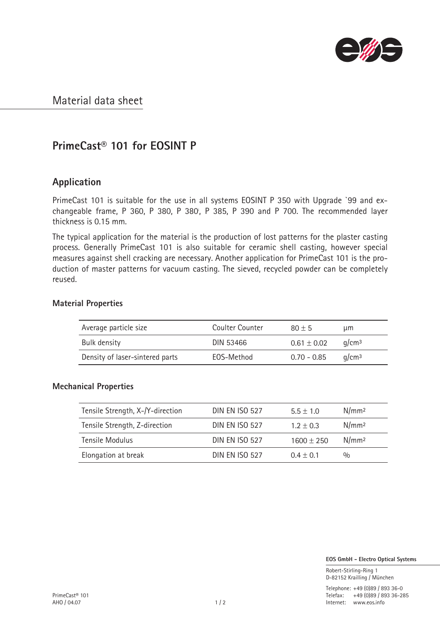

### Material data sheet

# PrimeCast® 101 for EOSINT P

### Application

PrimeCast 101 is suitable for the use in all systems EOSINT P 350 with Upgrade `99 and exchangeable frame, P 360, P 380, P 380, P 385, P 390 and P 700. The recommended layer thickness is 0.15 mm.

The typical application for the material is the production of lost patterns for the plaster casting process. Generally PrimeCast 101 is also suitable for ceramic shell casting, however special measures against shell cracking are necessary. Another application for PrimeCast 101 is the production of master patterns for vacuum casting. The sieved, recycled powder can be completely reused.

#### Material Properties

| Average particle size           | Coulter Counter | $80 + 5$        | um                |
|---------------------------------|-----------------|-----------------|-------------------|
| Bulk density                    | DIN 53466       | $0.61 \pm 0.02$ | a/cm <sup>3</sup> |
| Density of laser-sintered parts | EOS-Method      | $0.70 - 0.85$   | a/cm <sup>3</sup> |

#### Mechanical Properties

| Tensile Strength, X-/Y-direction | <b>DIN EN ISO 527</b> | $5.5 + 1.0$    | N/mm <sup>2</sup> |
|----------------------------------|-----------------------|----------------|-------------------|
| Tensile Strength, Z-direction    | <b>DIN EN ISO 527</b> | $1.2 \pm 0.3$  | N/mm <sup>2</sup> |
| Tensile Modulus                  | <b>DIN FN ISO 527</b> | $1600 \pm 250$ | N/mm <sup>2</sup> |
| Elongation at break              | <b>DIN FN ISO 527</b> | $0.4 + 0.1$    | 0/0               |

EOS GmbH - Electro Optical Systems